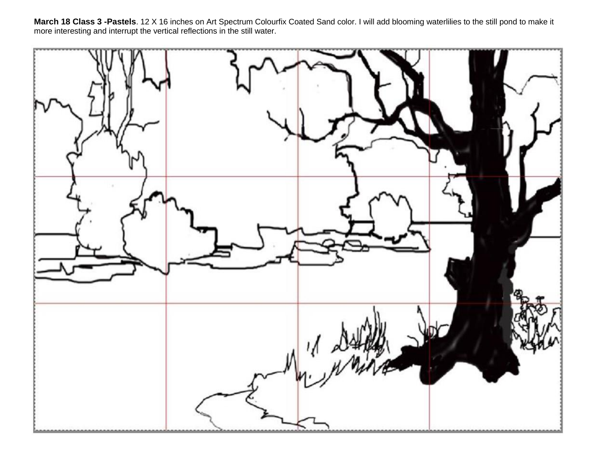**March 18 Class 3 -Pastels**. 12 X 16 inches on Art Spectrum Colourfix Coated Sand color. I will add blooming waterlilies to the still pond to make it more interesting and interrupt the vertical reflections in the still water.